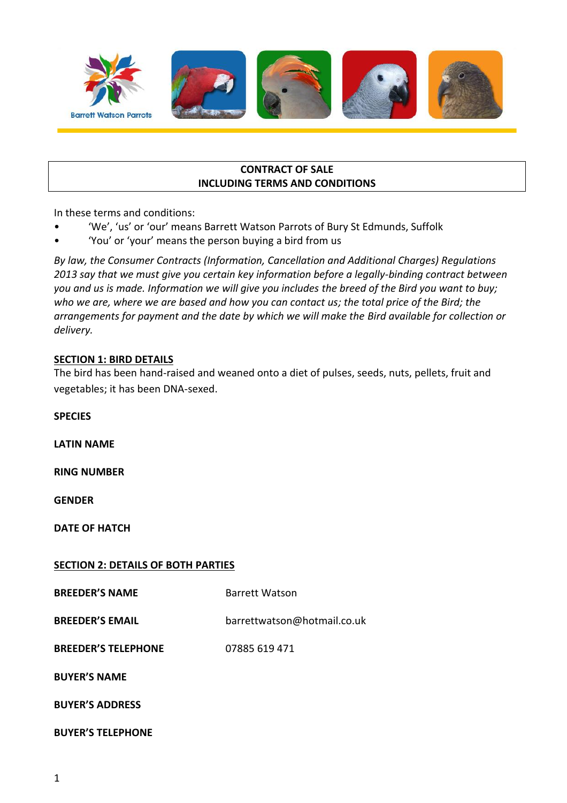

#### **CONTRACT OF SALE INCLUDING TERMS AND CONDITIONS**

In these terms and conditions:

- 'We', 'us' or 'our' means Barrett Watson Parrots of Bury St Edmunds, Suffolk
- 'You' or 'your' means the person buying a bird from us

*By law, the Consumer Contracts (Information, Cancellation and Additional Charges) Regulations 2013 say that we must give you certain key information before a legally-binding contract between you and us is made. Information we will give you includes the breed of the Bird you want to buy; who we are, where we are based and how you can contact us; the total price of the Bird; the arrangements for payment and the date by which we will make the Bird available for collection or delivery.*

## **SECTION 1: BIRD DETAILS**

The bird has been hand-raised and weaned onto a diet of pulses, seeds, nuts, pellets, fruit and vegetables; it has been DNA-sexed.

**SPECIES LATIN NAME RING NUMBER GENDER DATE OF HATCH SECTION 2: DETAILS OF BOTH PARTIES BREEDER'S NAME** Barrett Watson **BREEDER'S EMAIL** barrettwatson@hotmail.co.uk **BREEDER'S TELEPHONE** 07885 619 471 **BUYER'S NAME BUYER'S ADDRESS** 

**BUYER'S TELEPHONE**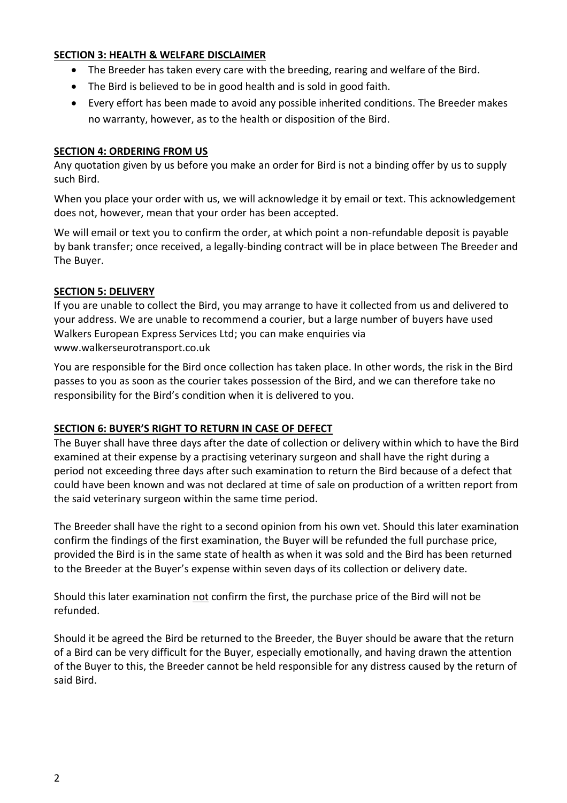## **SECTION 3: HEALTH & WELFARE DISCLAIMER**

- The Breeder has taken every care with the breeding, rearing and welfare of the Bird.
- The Bird is believed to be in good health and is sold in good faith.
- Every effort has been made to avoid any possible inherited conditions. The Breeder makes no warranty, however, as to the health or disposition of the Bird.

## **SECTION 4: ORDERING FROM US**

Any quotation given by us before you make an order for Bird is not a binding offer by us to supply such Bird.

When you place your order with us, we will acknowledge it by email or text. This acknowledgement does not, however, mean that your order has been accepted.

We will email or text you to confirm the order, at which point a non-refundable deposit is payable by bank transfer; once received, a legally-binding contract will be in place between The Breeder and The Buyer.

#### **SECTION 5: DELIVERY**

If you are unable to collect the Bird, you may arrange to have it collected from us and delivered to your address. We are unable to recommend a courier, but a large number of buyers have used Walkers European Express Services Ltd; you can make enquiries via www.walkerseurotransport.co.uk

You are responsible for the Bird once collection has taken place. In other words, the risk in the Bird passes to you as soon as the courier takes possession of the Bird, and we can therefore take no responsibility for the Bird's condition when it is delivered to you.

## **SECTION 6: BUYER'S RIGHT TO RETURN IN CASE OF DEFECT**

The Buyer shall have three days after the date of collection or delivery within which to have the Bird examined at their expense by a practising veterinary surgeon and shall have the right during a period not exceeding three days after such examination to return the Bird because of a defect that could have been known and was not declared at time of sale on production of a written report from the said veterinary surgeon within the same time period.

The Breeder shall have the right to a second opinion from his own vet. Should this later examination confirm the findings of the first examination, the Buyer will be refunded the full purchase price, provided the Bird is in the same state of health as when it was sold and the Bird has been returned to the Breeder at the Buyer's expense within seven days of its collection or delivery date.

Should this later examination not confirm the first, the purchase price of the Bird will not be refunded.

Should it be agreed the Bird be returned to the Breeder, the Buyer should be aware that the return of a Bird can be very difficult for the Buyer, especially emotionally, and having drawn the attention of the Buyer to this, the Breeder cannot be held responsible for any distress caused by the return of said Bird.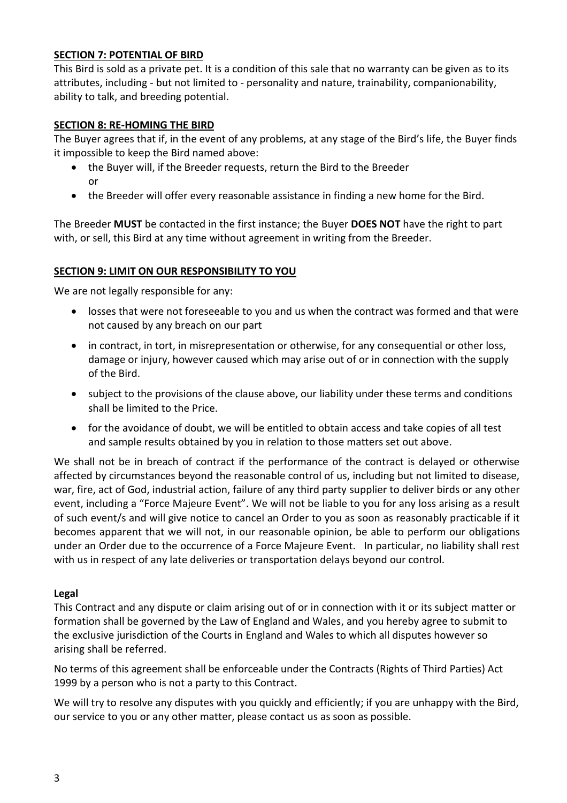## **SECTION 7: POTENTIAL OF BIRD**

This Bird is sold as a private pet. It is a condition of this sale that no warranty can be given as to its attributes, including - but not limited to - personality and nature, trainability, companionability, ability to talk, and breeding potential.

#### **SECTION 8: RE-HOMING THE BIRD**

The Buyer agrees that if, in the event of any problems, at any stage of the Bird's life, the Buyer finds it impossible to keep the Bird named above:

- the Buyer will, if the Breeder requests, return the Bird to the Breeder or
- the Breeder will offer every reasonable assistance in finding a new home for the Bird.

The Breeder **MUST** be contacted in the first instance; the Buyer **DOES NOT** have the right to part with, or sell, this Bird at any time without agreement in writing from the Breeder.

#### **SECTION 9: LIMIT ON OUR RESPONSIBILITY TO YOU**

We are not legally responsible for any:

- losses that were not foreseeable to you and us when the contract was formed and that were not caused by any breach on our part
- in contract, in tort, in misrepresentation or otherwise, for any consequential or other loss, damage or injury, however caused which may arise out of or in connection with the supply of the Bird.
- subject to the provisions of the clause above, our liability under these terms and conditions shall be limited to the Price.
- for the avoidance of doubt, we will be entitled to obtain access and take copies of all test and sample results obtained by you in relation to those matters set out above.

We shall not be in breach of contract if the performance of the contract is delayed or otherwise affected by circumstances beyond the reasonable control of us, including but not limited to disease, war, fire, act of God, industrial action, failure of any third party supplier to deliver birds or any other event, including a "Force Majeure Event". We will not be liable to you for any loss arising as a result of such event/s and will give notice to cancel an Order to you as soon as reasonably practicable if it becomes apparent that we will not, in our reasonable opinion, be able to perform our obligations under an Order due to the occurrence of a Force Majeure Event. In particular, no liability shall rest with us in respect of any late deliveries or transportation delays beyond our control.

#### **Legal**

This Contract and any dispute or claim arising out of or in connection with it or its subject matter or formation shall be governed by the Law of England and Wales, and you hereby agree to submit to the exclusive jurisdiction of the Courts in England and Wales to which all disputes however so arising shall be referred.

No terms of this agreement shall be enforceable under the Contracts (Rights of Third Parties) Act 1999 by a person who is not a party to this Contract.

We will try to resolve any disputes with you quickly and efficiently; if you are unhappy with the Bird, our service to you or any other matter, please contact us as soon as possible.